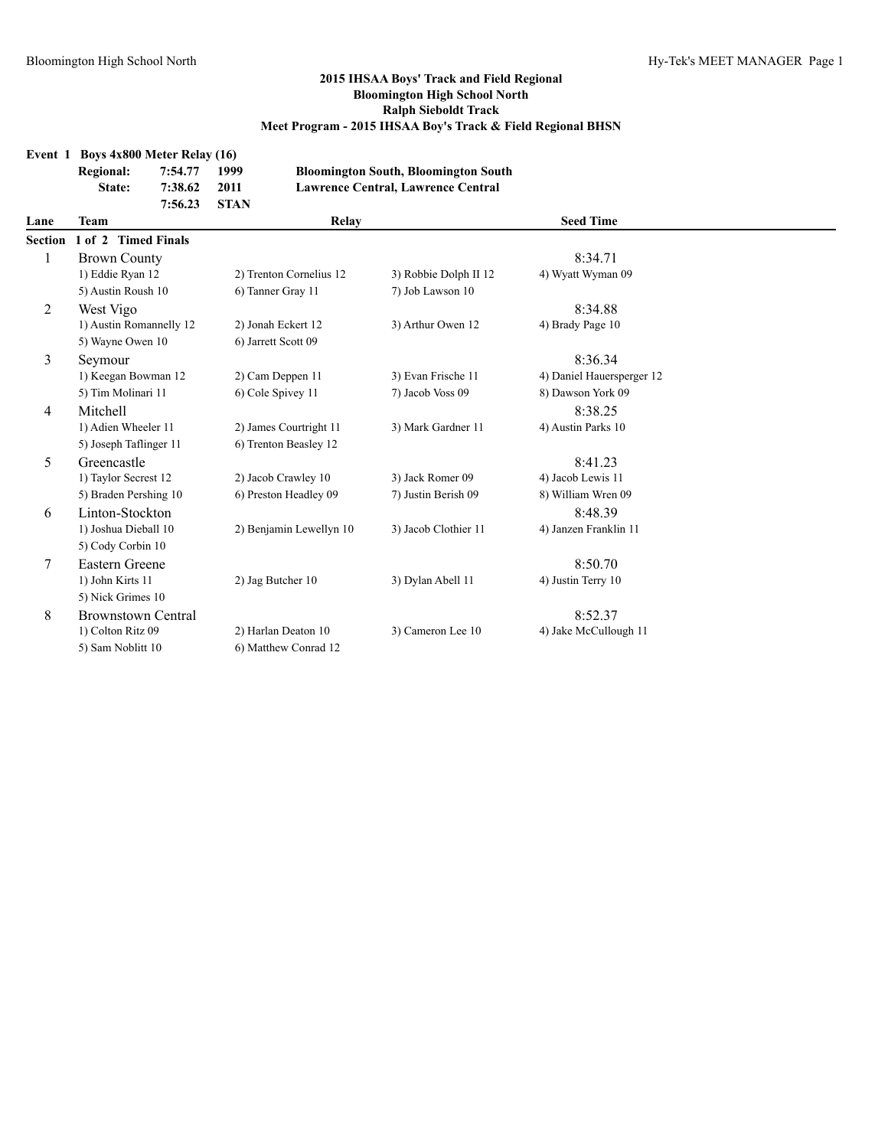|                | Event 1 Boys $4x800$ Meter Relay $(16)$ |         |             |                         |                                             |                           |  |
|----------------|-----------------------------------------|---------|-------------|-------------------------|---------------------------------------------|---------------------------|--|
|                | <b>Regional:</b>                        | 7:54.77 | 1999        |                         | <b>Bloomington South, Bloomington South</b> |                           |  |
|                | State:                                  | 7:38.62 | 2011        |                         | Lawrence Central, Lawrence Central          |                           |  |
|                |                                         | 7:56.23 | <b>STAN</b> |                         |                                             |                           |  |
| Lane           | <b>Team</b>                             |         |             | Relay                   |                                             | <b>Seed Time</b>          |  |
| <b>Section</b> | 1 of 2 Timed Finals                     |         |             |                         |                                             |                           |  |
|                | <b>Brown County</b>                     |         |             |                         |                                             | 8:34.71                   |  |
|                | 1) Eddie Ryan 12                        |         |             | 2) Trenton Cornelius 12 | 3) Robbie Dolph II 12                       | 4) Wyatt Wyman 09         |  |
|                | 5) Austin Roush 10                      |         |             | 6) Tanner Gray 11       | 7) Job Lawson 10                            |                           |  |
| 2              | West Vigo                               |         |             |                         |                                             | 8:34.88                   |  |
|                | 1) Austin Romannelly 12                 |         |             | 2) Jonah Eckert 12      | 3) Arthur Owen 12                           | 4) Brady Page 10          |  |
|                | 5) Wayne Owen 10                        |         |             | 6) Jarrett Scott 09     |                                             |                           |  |
| 3              | Seymour                                 |         |             |                         |                                             | 8:36.34                   |  |
|                | 1) Keegan Bowman 12                     |         |             | 2) Cam Deppen 11        | 3) Evan Frische 11                          | 4) Daniel Hauersperger 12 |  |
|                | 5) Tim Molinari 11                      |         |             | 6) Cole Spivey 11       | 7) Jacob Voss 09                            | 8) Dawson York 09         |  |
| 4              | Mitchell                                |         |             |                         |                                             | 8:38.25                   |  |
|                | 1) Adien Wheeler 11                     |         |             | 2) James Courtright 11  | 3) Mark Gardner 11                          | 4) Austin Parks 10        |  |
|                | 5) Joseph Taflinger 11                  |         |             | 6) Trenton Beasley 12   |                                             |                           |  |
| 5              | Greencastle                             |         |             |                         |                                             | 8:41.23                   |  |
|                | 1) Taylor Secrest 12                    |         |             | 2) Jacob Crawley 10     | 3) Jack Romer 09                            | 4) Jacob Lewis 11         |  |
|                | 5) Braden Pershing 10                   |         |             | 6) Preston Headley 09   | 7) Justin Berish 09                         | 8) William Wren 09        |  |
| 6              | Linton-Stockton                         |         |             |                         |                                             | 8:48.39                   |  |
|                | 1) Joshua Dieball 10                    |         |             | 2) Benjamin Lewellyn 10 | 3) Jacob Clothier 11                        | 4) Janzen Franklin 11     |  |
|                | 5) Cody Corbin 10                       |         |             |                         |                                             |                           |  |
| 7              | Eastern Greene                          |         |             |                         |                                             | 8:50.70                   |  |
|                | 1) John Kirts 11                        |         |             | 2) Jag Butcher 10       | 3) Dylan Abell 11                           | 4) Justin Terry 10        |  |
|                | 5) Nick Grimes 10                       |         |             |                         |                                             |                           |  |
| 8              | <b>Brownstown Central</b>               |         |             |                         |                                             | 8:52.37                   |  |
|                | 1) Colton Ritz 09                       |         |             | 2) Harlan Deaton 10     | 3) Cameron Lee 10                           | 4) Jake McCullough 11     |  |
|                | 5) Sam Noblitt 10                       |         |             | 6) Matthew Conrad 12    |                                             |                           |  |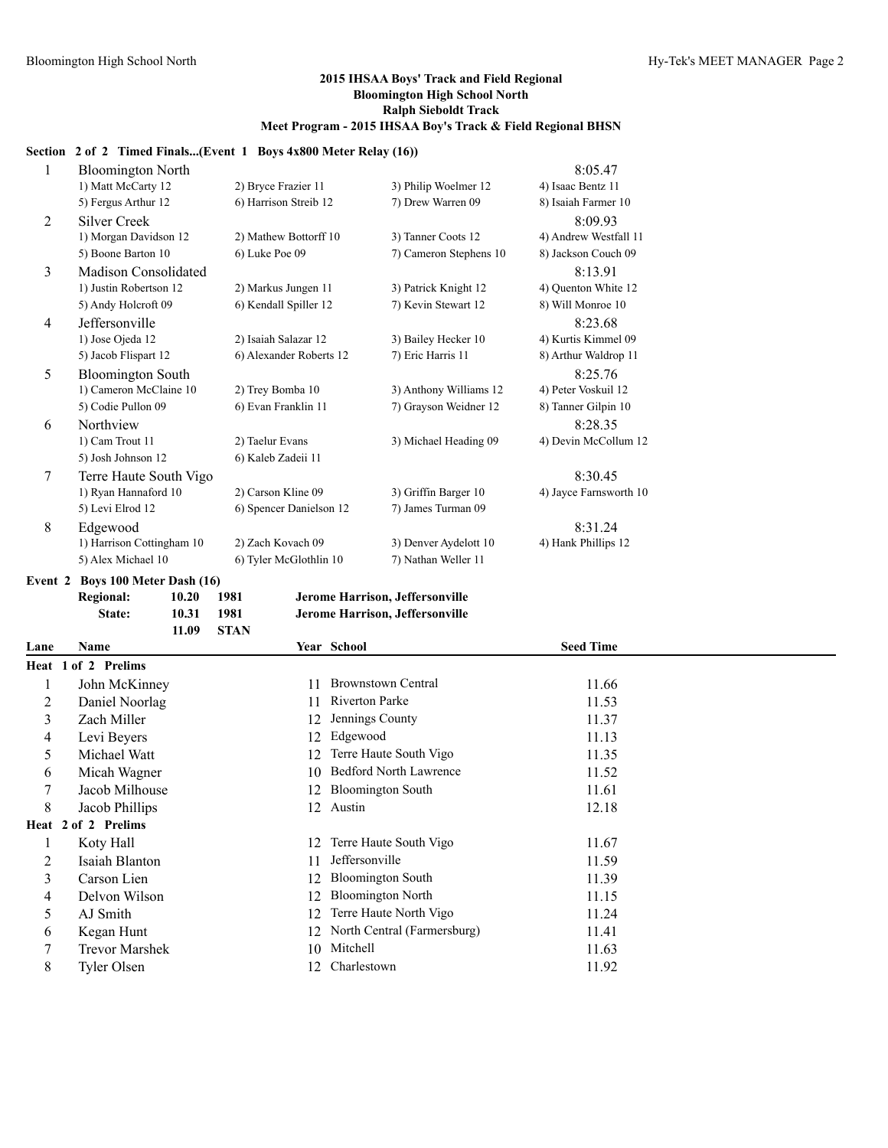#### **Section 2 of 2 Timed Finals...(Event 1 Boys 4x800 Meter Relay (16))**

| 1              | <b>Bloomington North</b>    |                         |                        | 8:05.47                |
|----------------|-----------------------------|-------------------------|------------------------|------------------------|
|                | 1) Matt McCarty 12          | 2) Bryce Frazier 11     | 3) Philip Woelmer 12   | 4) Isaac Bentz 11      |
|                | 5) Fergus Arthur 12         | 6) Harrison Streib 12   | 7) Drew Warren 09      | 8) Isaiah Farmer 10    |
| 2              | <b>Silver Creek</b>         |                         |                        | 8:09.93                |
|                | 1) Morgan Davidson 12       | 2) Mathew Bottorff 10   | 3) Tanner Coots 12     | 4) Andrew Westfall 11  |
|                | 5) Boone Barton 10          | 6) Luke Poe 09          | 7) Cameron Stephens 10 | 8) Jackson Couch 09    |
| 3              | <b>Madison Consolidated</b> |                         |                        | 8:13.91                |
|                | 1) Justin Robertson 12      | 2) Markus Jungen 11     | 3) Patrick Knight 12   | 4) Quenton White 12    |
|                | 5) Andy Holcroft 09         | 6) Kendall Spiller 12   | 7) Kevin Stewart 12    | 8) Will Monroe 10      |
| $\overline{4}$ | Jeffersonville              |                         |                        | 8:23.68                |
|                | 1) Jose Ojeda 12            | 2) Isaiah Salazar 12    | 3) Bailey Hecker 10    | 4) Kurtis Kimmel 09    |
|                | 5) Jacob Flispart 12        | 6) Alexander Roberts 12 | 7) Eric Harris 11      | 8) Arthur Waldrop 11   |
| 5              | <b>Bloomington South</b>    |                         |                        | 8:25.76                |
|                | 1) Cameron McClaine 10      | 2) Trey Bomba 10        | 3) Anthony Williams 12 | 4) Peter Voskuil 12    |
|                | 5) Codie Pullon 09          | 6) Evan Franklin 11     | 7) Grayson Weidner 12  | 8) Tanner Gilpin 10    |
| 6              | Northview                   |                         |                        | 8:28.35                |
|                | 1) Cam Trout 11             | 2) Taelur Evans         | 3) Michael Heading 09  | 4) Devin McCollum 12   |
|                | 5) Josh Johnson 12          | 6) Kaleb Zadeii 11      |                        |                        |
| 7              | Terre Haute South Vigo      |                         |                        | 8:30.45                |
|                | 1) Ryan Hannaford 10        | 2) Carson Kline 09      | 3) Griffin Barger 10   | 4) Jayce Farnsworth 10 |
|                | 5) Levi Elrod 12            | 6) Spencer Danielson 12 | 7) James Turman 09     |                        |
| 8              | Edgewood                    |                         |                        | 8:31.24                |
|                | 1) Harrison Cottingham 10   | 2) Zach Kovach 09       | 3) Denver Aydelott 10  | 4) Hank Phillips 12    |
|                | 5) Alex Michael 10          | 6) Tyler McGlothlin 10  | 7) Nathan Weller 11    |                        |
|                |                             |                         |                        |                        |

# **Event 2 Boys 100 Meter Dash (16)**



| Lane | Name                  |    | Year School                   | <b>Seed Time</b> |  |
|------|-----------------------|----|-------------------------------|------------------|--|
|      | Heat 1 of 2 Prelims   |    |                               |                  |  |
|      | John McKinney         | 11 | <b>Brownstown Central</b>     | 11.66            |  |
| 2    | Daniel Noorlag        | 11 | Riverton Parke                | 11.53            |  |
| 3    | Zach Miller           | 12 | Jennings County               | 11.37            |  |
| 4    | Levi Beyers           | 12 | Edgewood                      | 11.13            |  |
| 5    | Michael Watt          | 12 | Terre Haute South Vigo        | 11.35            |  |
| 6    | Micah Wagner          | 10 | <b>Bedford North Lawrence</b> | 11.52            |  |
|      | Jacob Milhouse        | 12 | <b>Bloomington South</b>      | 11.61            |  |
| 8    | Jacob Phillips        | 12 | Austin                        | 12.18            |  |
|      | Heat 2 of 2 Prelims   |    |                               |                  |  |
|      | Koty Hall             | 12 | Terre Haute South Vigo        | 11.67            |  |
| 2    | Isaiah Blanton        | 11 | Jeffersonville                | 11.59            |  |
| 3    | Carson Lien           | 12 | <b>Bloomington South</b>      | 11.39            |  |
| 4    | Delvon Wilson         | 12 | <b>Bloomington North</b>      | 11.15            |  |
| 5    | AJ Smith              | 12 | Terre Haute North Vigo        | 11.24            |  |
| 6    | Kegan Hunt            | 12 | North Central (Farmersburg)   | 11.41            |  |
|      | <b>Trevor Marshek</b> | 10 | Mitchell                      | 11.63            |  |
| 8    | Tyler Olsen           | 12 | Charlestown                   | 11.92            |  |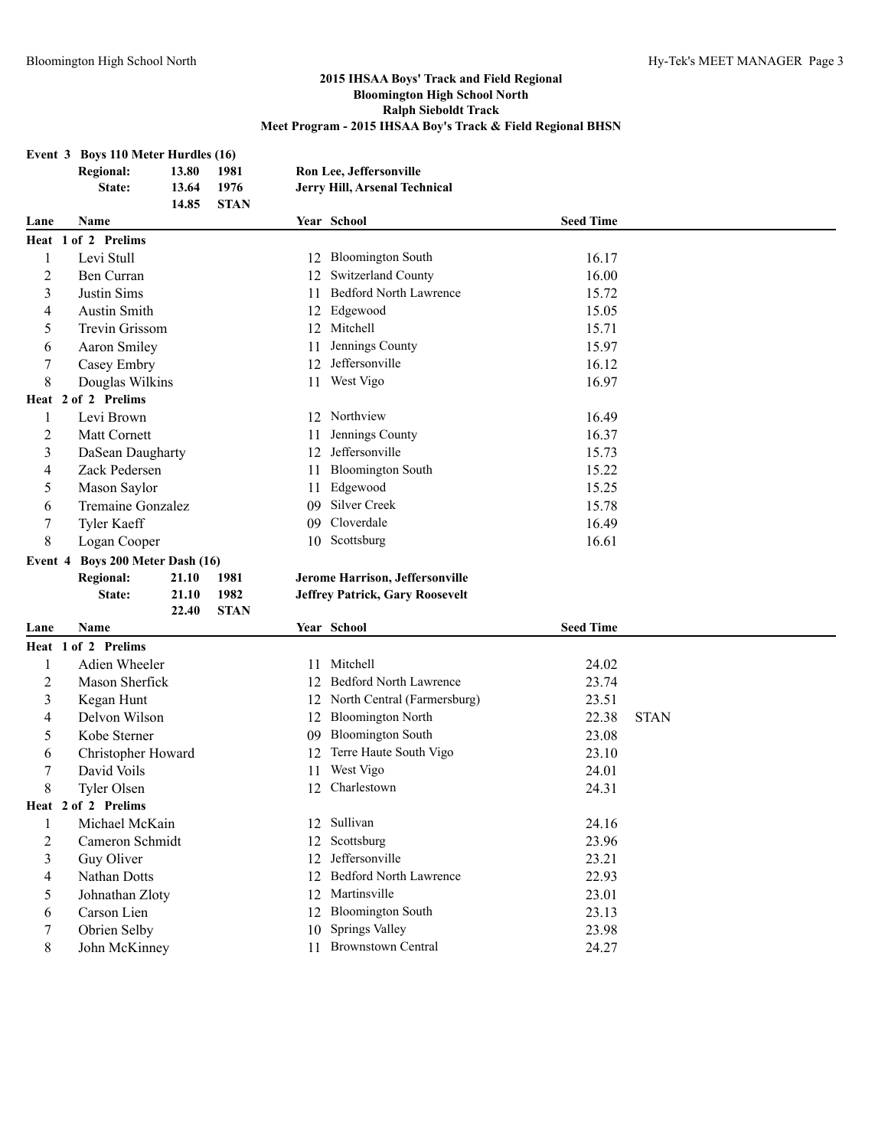# **Event 3 Boys 110 Meter Hurdles (16)**

|                  | <b>Regional:</b>                 | 13.80 | 1981        |    | Ron Lee, Jeffersonville                |                  |             |
|------------------|----------------------------------|-------|-------------|----|----------------------------------------|------------------|-------------|
|                  | State:                           | 13.64 | 1976        |    | Jerry Hill, Arsenal Technical          |                  |             |
|                  |                                  | 14.85 | <b>STAN</b> |    |                                        |                  |             |
| Lane             | Name                             |       |             |    | Year School                            | <b>Seed Time</b> |             |
|                  | Heat 1 of 2 Prelims              |       |             |    |                                        |                  |             |
| $\mathbf{1}$     | Levi Stull                       |       |             |    | 12 Bloomington South                   | 16.17            |             |
| $\overline{2}$   | Ben Curran                       |       |             | 12 | Switzerland County                     | 16.00            |             |
| $\mathfrak{Z}$   | Justin Sims                      |       |             | 11 | <b>Bedford North Lawrence</b>          | 15.72            |             |
| 4                | <b>Austin Smith</b>              |       |             | 12 | Edgewood                               | 15.05            |             |
| 5                | Trevin Grissom                   |       |             | 12 | Mitchell                               | 15.71            |             |
| 6                | <b>Aaron Smiley</b>              |       |             | 11 | Jennings County                        | 15.97            |             |
| $\boldsymbol{7}$ | Casey Embry                      |       |             | 12 | Jeffersonville                         | 16.12            |             |
| 8                | Douglas Wilkins                  |       |             | 11 | West Vigo                              | 16.97            |             |
|                  | Heat 2 of 2 Prelims              |       |             |    |                                        |                  |             |
| 1                | Levi Brown                       |       |             |    | 12 Northview                           | 16.49            |             |
| 2                | Matt Cornett                     |       |             | 11 | Jennings County                        | 16.37            |             |
| 3                | DaSean Daugharty                 |       |             | 12 | Jeffersonville                         | 15.73            |             |
| 4                | Zack Pedersen                    |       |             | 11 | <b>Bloomington South</b>               | 15.22            |             |
| 5                | Mason Saylor                     |       |             | 11 | Edgewood                               | 15.25            |             |
| 6                | Tremaine Gonzalez                |       |             | 09 | <b>Silver Creek</b>                    | 15.78            |             |
| $\boldsymbol{7}$ | <b>Tyler Kaeff</b>               |       |             | 09 | Cloverdale                             | 16.49            |             |
| 8                | Logan Cooper                     |       |             |    | 10 Scottsburg                          | 16.61            |             |
|                  | Event 4 Boys 200 Meter Dash (16) |       |             |    |                                        |                  |             |
|                  | <b>Regional:</b>                 | 21.10 | 1981        |    | Jerome Harrison, Jeffersonville        |                  |             |
|                  | State:                           | 21.10 | 1982        |    | <b>Jeffrey Patrick, Gary Roosevelt</b> |                  |             |
|                  |                                  | 22.40 | <b>STAN</b> |    |                                        |                  |             |
| Lane             | Name                             |       |             |    | Year School                            | <b>Seed Time</b> |             |
|                  | Heat 1 of 2 Prelims              |       |             |    |                                        |                  |             |
| 1                | Adien Wheeler                    |       |             | 11 | Mitchell                               | 24.02            |             |
| $\overline{2}$   | Mason Sherfick                   |       |             |    | 12 Bedford North Lawrence              | 23.74            |             |
| 3                | Kegan Hunt                       |       |             |    | 12 North Central (Farmersburg)         | 23.51            |             |
| 4                | Delvon Wilson                    |       |             |    | 12 Bloomington North                   | 22.38            | <b>STAN</b> |
| 5                | Kobe Sterner                     |       |             | 09 | <b>Bloomington South</b>               | 23.08            |             |
| 6                | Christopher Howard               |       |             | 12 | Terre Haute South Vigo                 | 23.10            |             |
| 7                | David Voils                      |       |             | 11 | West Vigo                              | 24.01            |             |
| 8                | Tyler Olsen                      |       |             | 12 | Charlestown                            | 24.31            |             |
|                  | Heat 2 of 2 Prelims              |       |             |    |                                        |                  |             |

 Michael McKain 12 Sullivan 24.16 2 Cameron Schmidt 12 Scottsburg 23.96 3 Guy Oliver 12 Jeffersonville 23.21 4 Nathan Dotts 12 Bedford North Lawrence 22.93<br>5 Johnathan Zloty 12 Martinsville 23.01 Johnathan Zloty 12 Martinsville 23.01 Carson Lien 12 Bloomington South 23.13 Obrien Selby 10 Springs Valley 23.98 John McKinney 11 Brownstown Central 24.27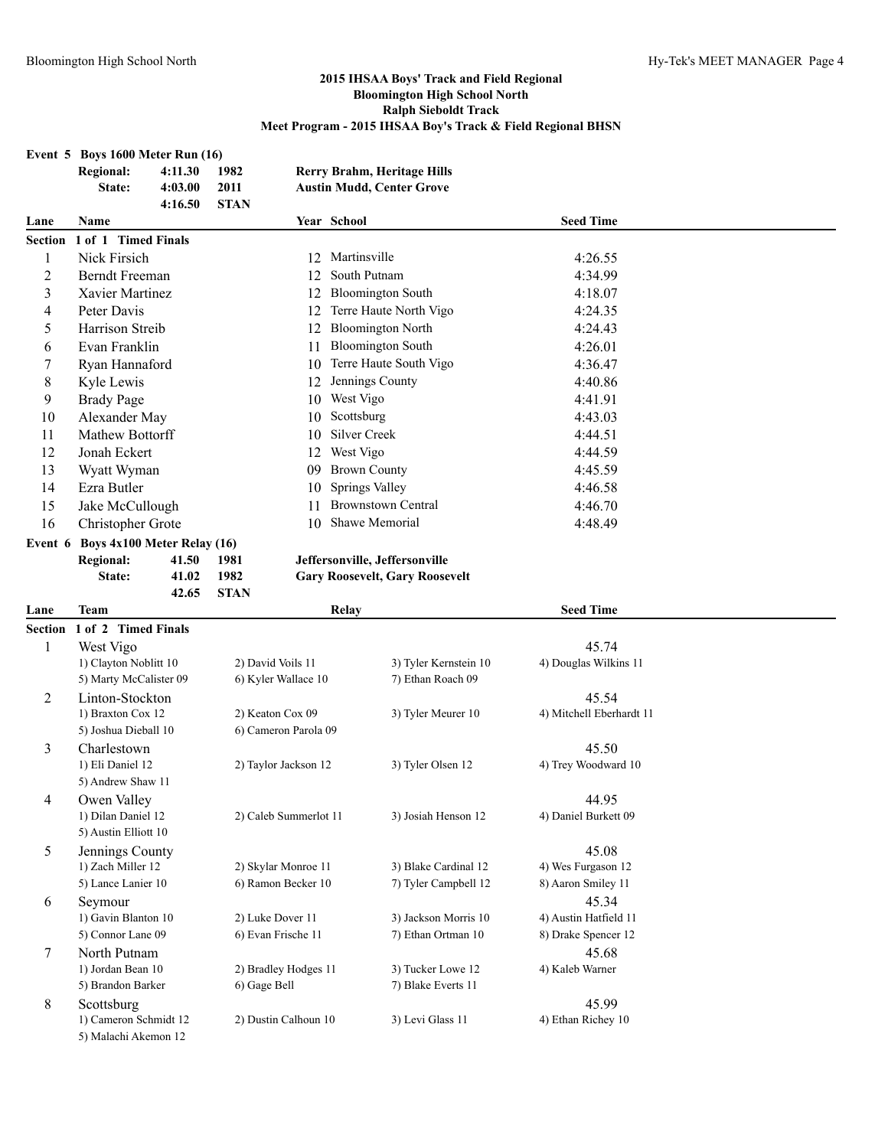5) Andrew Shaw 11

5) Austin Elliott 10

5) Malachi Akemon 12

#### **2015 IHSAA Boys' Track and Field Regional Bloomington High School North Ralph Sieboldt Track Meet Program - 2015 IHSAA Boy's Track & Field Regional BHSN**

# **Event 5 Boys 1600 Meter Run (16) Regional: 4:11.30 1982 Rerry Brahm, Heritage Hills State: 4:03.00 2011 Austin Mudd, Center Grove 4:16.50 STAN Lane Name Year School Seed Time Section 1 of 1 Timed Finals** 1 Nick Firsich 12 Martinsville 4:26.55 2 Berndt Freeman 12 South Putnam 4:34.99 3 Xavier Martinez 12 Bloomington South 4:18.07 4 Peter Davis 12 Terre Haute North Vigo 4:24.35 5 Harrison Streib 12 Bloomington North 4:24.43 6 Evan Franklin 11 Bloomington South 4:26.01 7 Ryan Hannaford 10 Terre Haute South Vigo 4:36.47 8 Kyle Lewis 12 Jennings County 4:40.86 9 Brady Page 10 West Vigo 4:41.91 10 Alexander May 10 Scottsburg 4:43.03 11 Mathew Bottorff 10 Silver Creek 4:44.51 12 Jonah Eckert 12 West Vigo 4:44.59 13 Wyatt Wyman 09 Brown County 4:45.59 14 Ezra Butler 10 Springs Valley 4:46.58 15 Jake McCullough 11 Brownstown Central 4:46.70 16 Christopher Grote 10 Shawe Memorial 4:48.49 **Event 6 Boys 4x100 Meter Relay (16) Regional: 41.50 1981 Jeffersonville, Jeffersonville State: 41.02 1982 Gary Roosevelt, Gary Roosevelt 42.65 STAN Lane Team Relay Seed Time Section 1 of 2 Timed Finals** 1 West Vigo 45.74 1) Clayton Noblitt 10 2) David Voils 11 3) Tyler Kernstein 10 4) Douglas Wilkins 11 5) Marty McCalister 09 6) Kyler Wallace 10 7) Ethan Roach 09 2 Linton-Stockton 45.54 1) Braxton Cox 12 2) Keaton Cox 09 3) Tyler Meurer 10 4) Mitchell Eberhardt 11 5) Joshua Dieball 10 6) Cameron Parola 09

3 Charlestown 45.50

4 Owen Valley 24.95

5 Jennings County 45.08 1) Zach Miller 12 2) Skylar Monroe 11 3) Blake Cardinal 12 4) Wes Furgason 12 5) Lance Lanier 10 6) Ramon Becker 10 7) Tyler Campbell 12 8) Aaron Smiley 11

6 Seymour 45.34

7 North Putnam 45.68 1) Jordan Bean 10 2) Bradley Hodges 11 3) Tucker Lowe 12 4) Kaleb Warner

8 Scottsburg 45.99 1) Cameron Schmidt 12 2) Dustin Calhoun 10 3) Levi Glass 11 4) Ethan Richey 10

5) Brandon Barker 6) Gage Bell 7) Blake Everts 11

1) Eli Daniel 12 2) Taylor Jackson 12 3) Tyler Olsen 12 4) Trey Woodward 10

1) Dilan Daniel 12 2) Caleb Summerlot 11 3) Josiah Henson 12 4) Daniel Burkett 09

1) Gavin Blanton 10 2) Luke Dover 11 3) Jackson Morris 10 4) Austin Hatfield 11 5) Connor Lane 09 6) Evan Frische 11 7) Ethan Ortman 10 8) Drake Spencer 12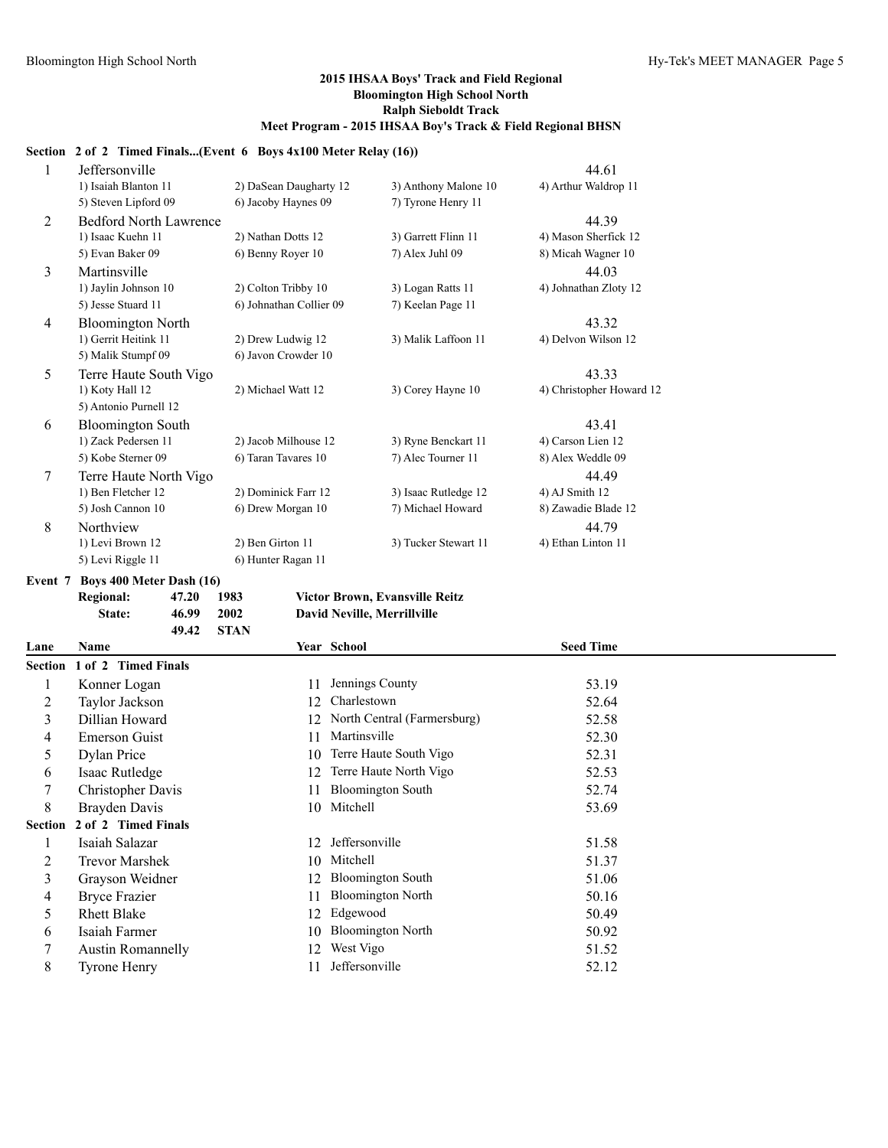#### **Section 2 of 2 Timed Finals...(Event 6 Boys 4x100 Meter Relay (16))**

| 1              | Jeffersonville                |                         |                      | 44.61                    |
|----------------|-------------------------------|-------------------------|----------------------|--------------------------|
|                | 1) Isaiah Blanton 11          | 2) DaSean Daugharty 12  | 3) Anthony Malone 10 | 4) Arthur Waldrop 11     |
|                | 5) Steven Lipford 09          | 6) Jacoby Haynes 09     | 7) Tyrone Henry 11   |                          |
| 2              | <b>Bedford North Lawrence</b> |                         |                      | 44.39                    |
|                | 1) Isaac Kuehn 11             | 2) Nathan Dotts 12      | 3) Garrett Flinn 11  | 4) Mason Sherfick 12     |
|                | 5) Evan Baker 09              | 6) Benny Royer 10       | 7) Alex Juhl 09      | 8) Micah Wagner 10       |
| 3              | Martinsville                  |                         |                      | 44.03                    |
|                | 1) Jaylin Johnson 10          | 2) Colton Tribby 10     | 3) Logan Ratts 11    | 4) Johnathan Zloty 12    |
|                | 5) Jesse Stuard 11            | 6) Johnathan Collier 09 | 7) Keelan Page 11    |                          |
| $\overline{4}$ | <b>Bloomington North</b>      |                         |                      | 43.32                    |
|                | 1) Gerrit Heitink 11          | 2) Drew Ludwig 12       | 3) Malik Laffoon 11  | 4) Delvon Wilson 12      |
|                | 5) Malik Stumpf 09            | 6) Javon Crowder 10     |                      |                          |
| 5              | Terre Haute South Vigo        |                         |                      | 43.33                    |
|                | 1) Koty Hall 12               | 2) Michael Watt 12      | 3) Corey Hayne 10    | 4) Christopher Howard 12 |
|                | 5) Antonio Purnell 12         |                         |                      |                          |
| 6              | <b>Bloomington South</b>      |                         |                      | 43.41                    |
|                | 1) Zack Pedersen 11           | 2) Jacob Milhouse 12    | 3) Ryne Benckart 11  | 4) Carson Lien 12        |
|                | 5) Kobe Sterner 09            | 6) Taran Tavares 10     | 7) Alec Tourner 11   | 8) Alex Weddle 09        |
| $\tau$         | Terre Haute North Vigo        |                         |                      | 44.49                    |
|                | 1) Ben Fletcher 12            | 2) Dominick Farr 12     | 3) Isaac Rutledge 12 | 4) AJ Smith 12           |
|                | 5) Josh Cannon 10             | 6) Drew Morgan 10       | 7) Michael Howard    | 8) Zawadie Blade 12      |
| 8              | Northview                     |                         |                      | 44.79                    |
|                | 1) Levi Brown 12              | 2) Ben Girton 11        | 3) Tucker Stewart 11 | 4) Ethan Linton 11       |
|                | 5) Levi Riggle 11             | 6) Hunter Ragan 11      |                      |                          |

**Event 7 Boys 400 Meter Dash (16)**

| Regional: | 47.20 1983 |        |
|-----------|------------|--------|
| State:    | 46.99      | - 2002 |
|           | 49.42      | - STAN |

**Regional: 47.20 1983 Victor Brown, Evansville Reitz State: 46.99 2002 David Neville, Merrillville**

| Lane    | <b>Name</b>                 |     | Year School                 | <b>Seed Time</b> |  |
|---------|-----------------------------|-----|-----------------------------|------------------|--|
|         | Section 1 of 2 Timed Finals |     |                             |                  |  |
|         | Konner Logan                | 11  | Jennings County             | 53.19            |  |
|         | Taylor Jackson              | 12  | Charlestown                 | 52.64            |  |
| 3       | Dillian Howard              | 12. | North Central (Farmersburg) | 52.58            |  |
| 4       | Emerson Guist               | 11  | Martinsville                | 52.30            |  |
| 5       | Dylan Price                 | 10  | Terre Haute South Vigo      | 52.31            |  |
| 6       | Isaac Rutledge              | 12  | Terre Haute North Vigo      | 52.53            |  |
|         | Christopher Davis           | 11  | <b>Bloomington South</b>    | 52.74            |  |
| 8       | Brayden Davis               | 10  | Mitchell                    | 53.69            |  |
| Section | 2 of 2 Timed Finals         |     |                             |                  |  |
|         | Isaiah Salazar              | 12  | Jeffersonville              | 51.58            |  |
| 2       | <b>Trevor Marshek</b>       | 10  | Mitchell                    | 51.37            |  |
| 3       | Grayson Weidner             | 12  | <b>Bloomington South</b>    | 51.06            |  |
| 4       | <b>Bryce Frazier</b>        | 11  | <b>Bloomington North</b>    | 50.16            |  |
| 5       | <b>Rhett Blake</b>          | 12. | Edgewood                    | 50.49            |  |
| 6       | Isaiah Farmer               | 10  | <b>Bloomington North</b>    | 50.92            |  |
|         | <b>Austin Romannelly</b>    | 12. | West Vigo                   | 51.52            |  |
| 8       | <b>Tyrone Henry</b>         |     | Jeffersonville              | 52.12            |  |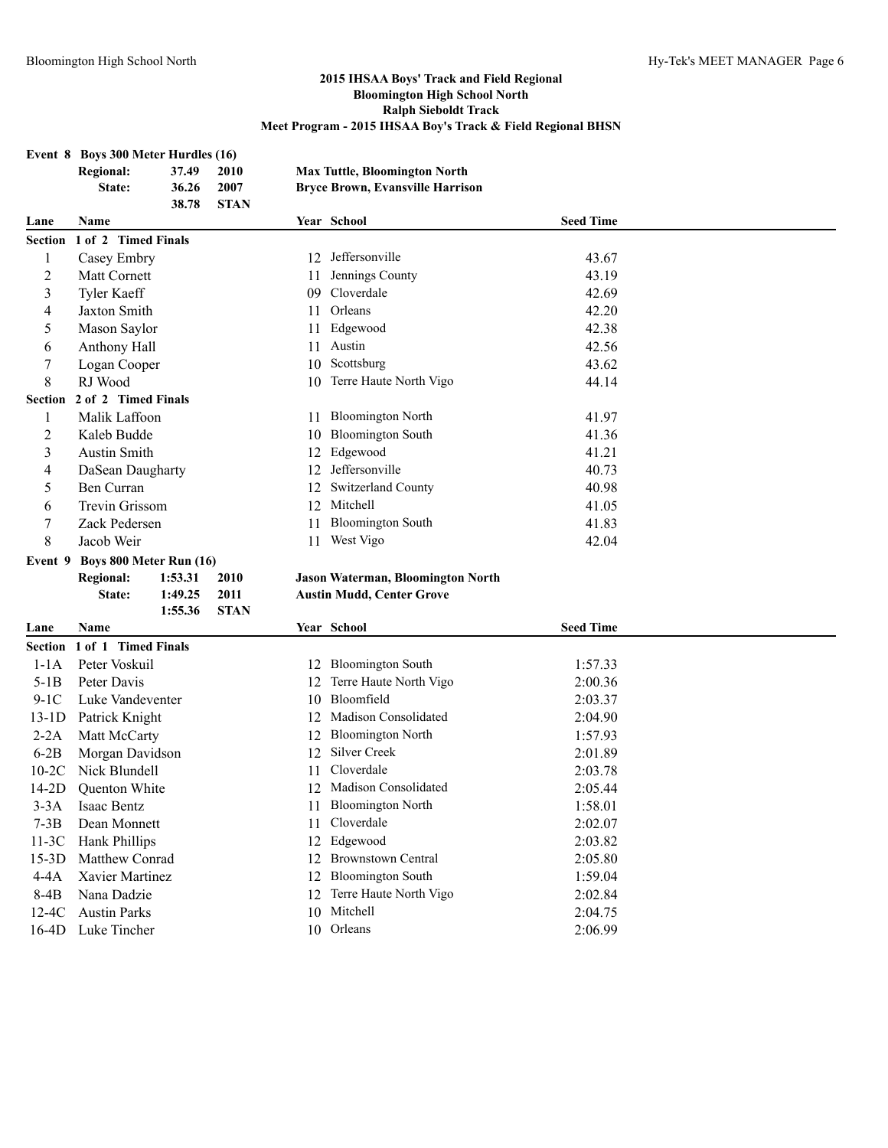|                | Event 8 Boys 300 Meter Hurdles (16) |         |             |     |                                         |                  |  |
|----------------|-------------------------------------|---------|-------------|-----|-----------------------------------------|------------------|--|
|                | <b>Regional:</b>                    | 37.49   | 2010        |     | <b>Max Tuttle, Bloomington North</b>    |                  |  |
|                | State:                              | 36.26   | 2007        |     | <b>Bryce Brown, Evansville Harrison</b> |                  |  |
|                |                                     | 38.78   | <b>STAN</b> |     |                                         |                  |  |
| Lane           | Name                                |         |             |     | Year School                             | <b>Seed Time</b> |  |
|                | Section 1 of 2 Timed Finals         |         |             |     |                                         |                  |  |
| 1              | Casey Embry                         |         |             | 12  | Jeffersonville                          | 43.67            |  |
| $\overline{c}$ | Matt Cornett                        |         |             | 11  | Jennings County                         | 43.19            |  |
| 3              | <b>Tyler Kaeff</b>                  |         |             | 09. | Cloverdale                              | 42.69            |  |
| 4              | Jaxton Smith                        |         |             | 11  | Orleans                                 | 42.20            |  |
| 5              | Mason Saylor                        |         |             | 11  | Edgewood                                | 42.38            |  |
| 6              | Anthony Hall                        |         |             | 11  | Austin                                  | 42.56            |  |
| 7              | Logan Cooper                        |         |             |     | 10 Scottsburg                           | 43.62            |  |
| 8              | RJ Wood                             |         |             |     | 10 Terre Haute North Vigo               | 44.14            |  |
|                | Section 2 of 2 Timed Finals         |         |             |     |                                         |                  |  |
| 1              | Malik Laffoon                       |         |             | 11  | <b>Bloomington North</b>                | 41.97            |  |
| $\overline{c}$ | Kaleb Budde                         |         |             | 10  | <b>Bloomington South</b>                | 41.36            |  |
| 3              | Austin Smith                        |         |             | 12  | Edgewood                                | 41.21            |  |
| 4              | DaSean Daugharty                    |         |             | 12  | Jeffersonville                          | 40.73            |  |
| 5              | Ben Curran                          |         |             | 12  | Switzerland County                      | 40.98            |  |
| 6              | Trevin Grissom                      |         |             | 12  | Mitchell                                | 41.05            |  |
| 7              | Zack Pedersen                       |         |             | 11  | <b>Bloomington South</b>                | 41.83            |  |
| 8              | Jacob Weir                          |         |             | 11  | West Vigo                               | 42.04            |  |
| Event 9        | Boys 800 Meter Run (16)             |         |             |     |                                         |                  |  |
|                | <b>Regional:</b>                    | 1:53.31 | 2010        |     | Jason Waterman, Bloomington North       |                  |  |
|                | State:                              | 1:49.25 | 2011        |     | <b>Austin Mudd, Center Grove</b>        |                  |  |
|                |                                     | 1:55.36 | <b>STAN</b> |     |                                         |                  |  |
| Lane           | Name                                |         |             |     | Year School                             | <b>Seed Time</b> |  |
|                |                                     |         |             |     |                                         |                  |  |
|                | Section 1 of 1 Timed Finals         |         |             |     |                                         |                  |  |
| $1-1A$         | Peter Voskuil                       |         |             |     | 12 Bloomington South                    | 1:57.33          |  |
| $5-1B$         | Peter Davis                         |         |             | 12  | Terre Haute North Vigo                  | 2:00.36          |  |
| $9-1C$         | Luke Vandeventer                    |         |             |     | 10 Bloomfield                           | 2:03.37          |  |
| $13-1D$        | Patrick Knight                      |         |             | 12  | Madison Consolidated                    | 2:04.90          |  |
| $2-2A$         | Matt McCarty                        |         |             | 12  | <b>Bloomington North</b>                | 1:57.93          |  |
| $6-2B$         | Morgan Davidson                     |         |             | 12  | Silver Creek                            | 2:01.89          |  |
| $10-2C$        | Nick Blundell                       |         |             | 11  | Cloverdale                              | 2:03.78          |  |
| $14-2D$        | Quenton White                       |         |             |     | 12 Madison Consolidated                 | 2:05.44          |  |
| $3-3A$         | Isaac Bentz                         |         |             |     | 11 Bloomington North                    | 1:58.01          |  |
| $7-3B$         | Dean Monnett                        |         |             | 11  | Cloverdale                              | 2:02.07          |  |
| $11-3C$        | Hank Phillips                       |         |             | 12  | Edgewood                                | 2:03.82          |  |
| $15-3D$        | Matthew Conrad                      |         |             | 12  | <b>Brownstown Central</b>               | 2:05.80          |  |
| $4-4A$         | Xavier Martinez                     |         |             | 12  | <b>Bloomington South</b>                | 1:59.04          |  |
| $8-4B$         | Nana Dadzie                         |         |             | 12  | Terre Haute North Vigo                  | 2:02.84          |  |
| $12-4C$        | <b>Austin Parks</b>                 |         |             |     | 10 Mitchell                             | 2:04.75          |  |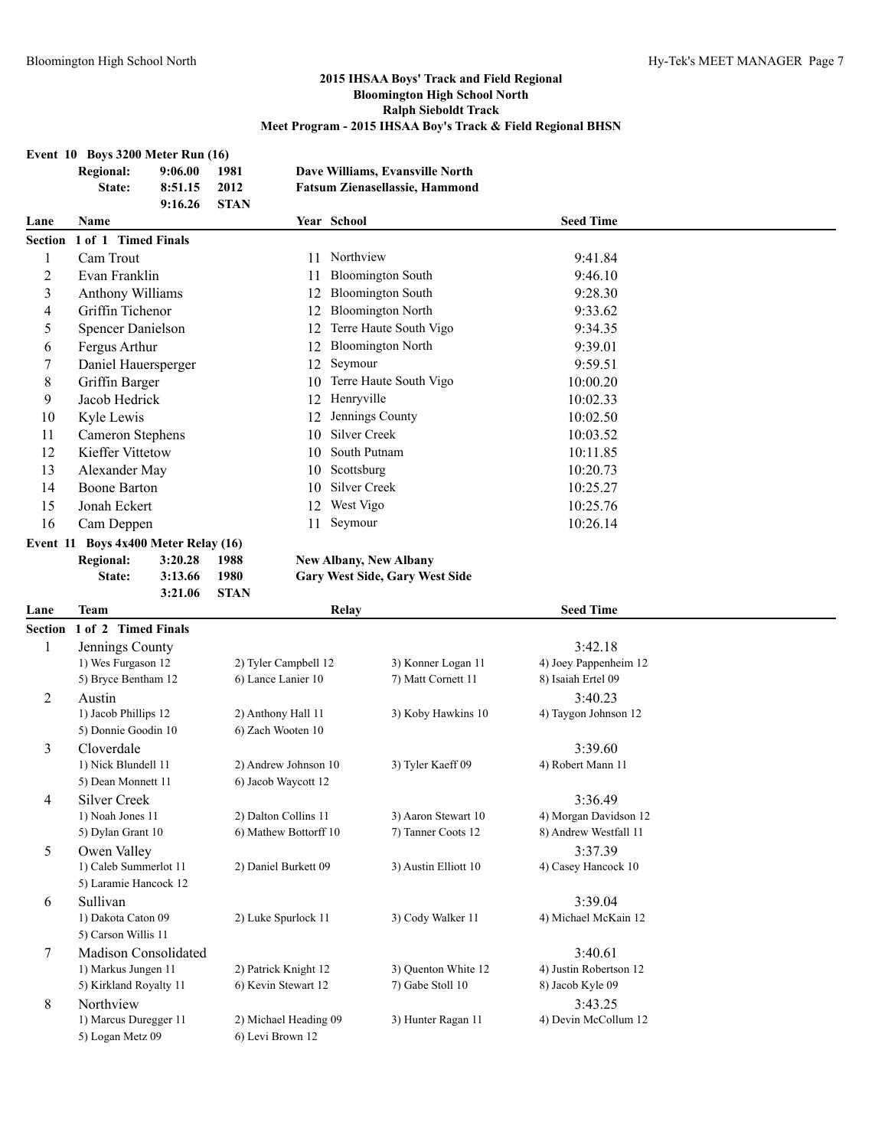| Event 10 Boys 3200 Meter Run (16) |  |  |  |
|-----------------------------------|--|--|--|
|                                   |  |  |  |

|                | Event 10 Boys 3200 Meter Run (16)<br><b>Regional:</b><br>9:06.00<br>8:51.15<br>State:<br>9:16.26 | 1981<br>2012<br><b>STAN</b> |                       | Dave Williams, Evansville North<br><b>Fatsum Zienasellassie, Hammond</b> |                              |  |
|----------------|--------------------------------------------------------------------------------------------------|-----------------------------|-----------------------|--------------------------------------------------------------------------|------------------------------|--|
| Lane           | Name                                                                                             |                             |                       | Year School                                                              | <b>Seed Time</b>             |  |
| <b>Section</b> | 1 of 1 Timed Finals                                                                              |                             |                       |                                                                          |                              |  |
| 1              | Cam Trout                                                                                        |                             | 11                    | Northview                                                                | 9:41.84                      |  |
| $\overline{c}$ | Evan Franklin                                                                                    |                             | 11                    | <b>Bloomington South</b>                                                 | 9:46.10                      |  |
| 3              | <b>Anthony Williams</b>                                                                          |                             | 12                    | <b>Bloomington South</b>                                                 | 9:28.30                      |  |
| 4              | Griffin Tichenor                                                                                 |                             | 12                    | <b>Bloomington North</b>                                                 | 9:33.62                      |  |
| 5              | <b>Spencer Danielson</b>                                                                         |                             | 12                    | Terre Haute South Vigo                                                   | 9:34.35                      |  |
| 6              | Fergus Arthur                                                                                    |                             |                       | 12 Bloomington North                                                     | 9:39.01                      |  |
| 7              | Daniel Hauersperger                                                                              |                             | 12                    | Seymour                                                                  | 9:59.51                      |  |
| 8              | Griffin Barger                                                                                   |                             | 10                    | Terre Haute South Vigo                                                   | 10:00.20                     |  |
| 9              | Jacob Hedrick                                                                                    |                             |                       | 12 Henryville                                                            | 10:02.33                     |  |
| 10             | Kyle Lewis                                                                                       |                             | 12                    | Jennings County                                                          | 10:02.50                     |  |
| 11             | Cameron Stephens                                                                                 |                             | 10                    | Silver Creek                                                             | 10:03.52                     |  |
| 12             | <b>Kieffer Vittetow</b>                                                                          |                             | 10                    | South Putnam                                                             | 10:11.85                     |  |
| 13             | Alexander May                                                                                    |                             | 10                    | Scottsburg                                                               | 10:20.73                     |  |
| 14             | <b>Boone Barton</b>                                                                              |                             | 10                    | Silver Creek                                                             | 10:25.27                     |  |
| 15             | Jonah Eckert                                                                                     |                             | 12                    | West Vigo                                                                | 10:25.76                     |  |
| 16             | Cam Deppen                                                                                       |                             | 11                    | Seymour                                                                  | 10:26.14                     |  |
|                | Event $11$ Boys $4x400$ Meter Relay (16)                                                         |                             |                       |                                                                          |                              |  |
|                | <b>Regional:</b><br>3:20.28                                                                      | 1988                        |                       | <b>New Albany, New Albany</b>                                            |                              |  |
|                | State:<br>3:13.66                                                                                | 1980                        |                       | Gary West Side, Gary West Side                                           |                              |  |
|                | 3:21.06                                                                                          | <b>STAN</b>                 |                       |                                                                          |                              |  |
| Lane           | Team                                                                                             |                             |                       | Relay                                                                    | <b>Seed Time</b>             |  |
| <b>Section</b> | 1 of 2 Timed Finals                                                                              |                             |                       |                                                                          |                              |  |
| 1              | Jennings County                                                                                  |                             |                       |                                                                          | 3:42.18                      |  |
|                | 1) Wes Furgason 12                                                                               |                             | 2) Tyler Campbell 12  | 3) Konner Logan 11                                                       | 4) Joey Pappenheim 12        |  |
|                | 5) Bryce Bentham 12                                                                              |                             | 6) Lance Lanier 10    | 7) Matt Cornett 11                                                       | 8) Isaiah Ertel 09           |  |
| 2              | Austin                                                                                           |                             |                       |                                                                          | 3:40.23                      |  |
|                | 1) Jacob Phillips 12                                                                             |                             | 2) Anthony Hall 11    | 3) Koby Hawkins 10                                                       | 4) Taygon Johnson 12         |  |
|                | 5) Donnie Goodin 10                                                                              |                             | 6) Zach Wooten 10     |                                                                          |                              |  |
| 3              | Cloverdale<br>1) Nick Blundell 11                                                                |                             | 2) Andrew Johnson 10  |                                                                          | 3:39.60<br>4) Robert Mann 11 |  |
|                | 5) Dean Monnett 11                                                                               |                             | 6) Jacob Waycott 12   | 3) Tyler Kaeff 09                                                        |                              |  |
|                | <b>Silver Creek</b>                                                                              |                             |                       |                                                                          | 3:36.49                      |  |
| 4              | 1) Noah Jones 11                                                                                 |                             | 2) Dalton Collins 11  | 3) Aaron Stewart 10                                                      | 4) Morgan Davidson 12        |  |
|                | 5) Dylan Grant 10                                                                                |                             | 6) Mathew Bottorff 10 | 7) Tanner Coots 12                                                       | 8) Andrew Westfall 11        |  |
| 5              | Owen Valley                                                                                      |                             |                       |                                                                          | 3:37.39                      |  |
|                | 1) Caleb Summerlot 11                                                                            |                             |                       |                                                                          |                              |  |
|                |                                                                                                  |                             |                       |                                                                          |                              |  |
|                |                                                                                                  |                             | 2) Daniel Burkett 09  | 3) Austin Elliott 10                                                     | 4) Casey Hancock 10          |  |
|                | 5) Laramie Hancock 12                                                                            |                             |                       |                                                                          |                              |  |
| 6              | Sullivan                                                                                         |                             |                       |                                                                          | 3:39.04                      |  |
|                | 1) Dakota Caton 09                                                                               |                             | 2) Luke Spurlock 11   | 3) Cody Walker 11                                                        | 4) Michael McKain 12         |  |
|                | 5) Carson Willis 11<br>Madison Consolidated                                                      |                             |                       |                                                                          | 3:40.61                      |  |
| 7              | 1) Markus Jungen 11                                                                              |                             | 2) Patrick Knight 12  | 3) Quenton White 12                                                      | 4) Justin Robertson 12       |  |
|                | 5) Kirkland Royalty 11                                                                           |                             | 6) Kevin Stewart 12   | 7) Gabe Stoll 10                                                         | 8) Jacob Kyle 09             |  |
| 8              | Northview                                                                                        |                             |                       |                                                                          | 3:43.25                      |  |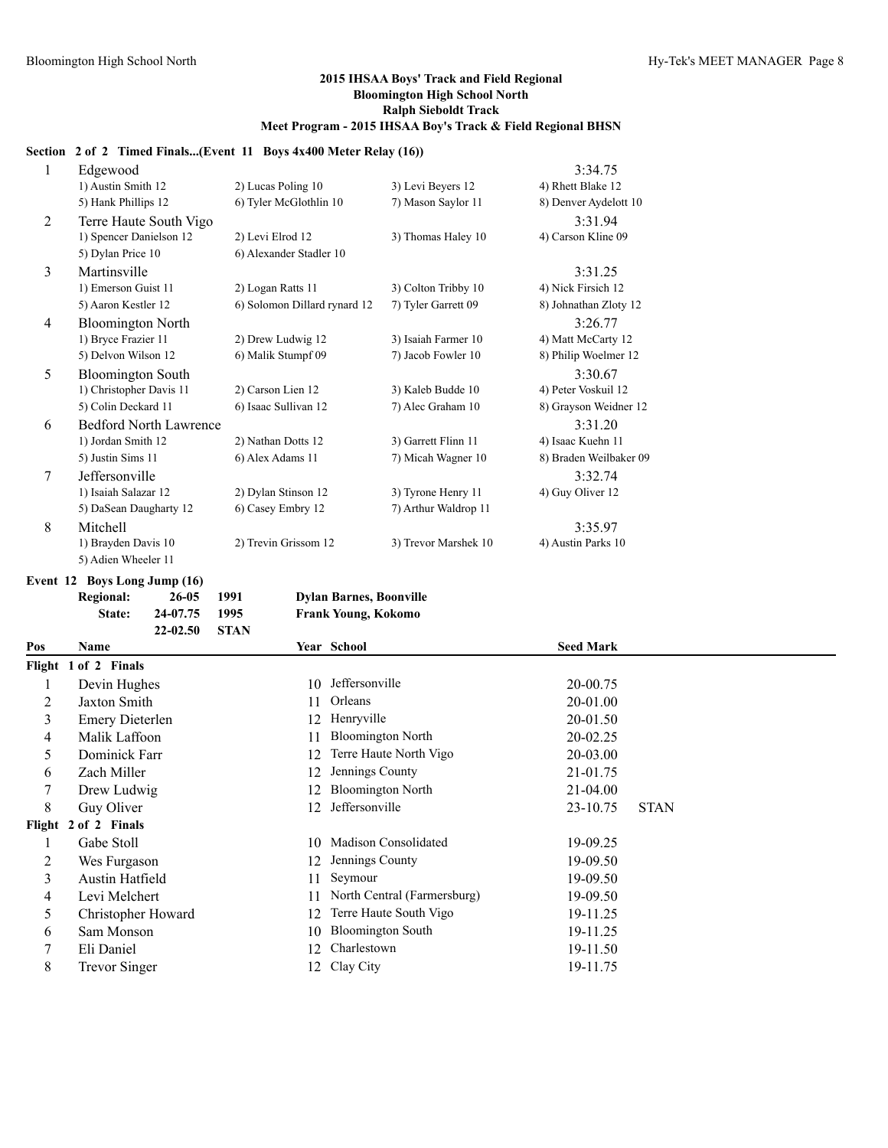#### **Section 2 of 2 Timed Finals...(Event 11 Boys 4x400 Meter Relay (16))**

| $\mathbf{1}$ | Edgewood                      |                              |                      | 3:34.75                |
|--------------|-------------------------------|------------------------------|----------------------|------------------------|
|              | 1) Austin Smith 12            | 2) Lucas Poling 10           | 3) Levi Beyers 12    | 4) Rhett Blake 12      |
|              | 5) Hank Phillips 12           | 6) Tyler McGlothlin 10       | 7) Mason Saylor 11   | 8) Denver Aydelott 10  |
| 2            | Terre Haute South Vigo        |                              |                      | 3:31.94                |
|              | 1) Spencer Danielson 12       | 2) Levi Elrod 12             | 3) Thomas Haley 10   | 4) Carson Kline 09     |
|              | 5) Dylan Price 10             | 6) Alexander Stadler 10      |                      |                        |
| 3            | Martinsville                  |                              |                      | 3:31.25                |
|              | 1) Emerson Guist 11           | 2) Logan Ratts 11            | 3) Colton Tribby 10  | 4) Nick Firsich 12     |
|              | 5) Aaron Kestler 12           | 6) Solomon Dillard rynard 12 | 7) Tyler Garrett 09  | 8) Johnathan Zloty 12  |
| 4            | <b>Bloomington North</b>      |                              |                      | 3:26.77                |
|              | 1) Bryce Frazier 11           | 2) Drew Ludwig 12            | 3) Isaiah Farmer 10  | 4) Matt McCarty 12     |
|              | 5) Delvon Wilson 12           | 6) Malik Stumpf 09           | 7) Jacob Fowler 10   | 8) Philip Woelmer 12   |
| 5            | <b>Bloomington South</b>      |                              |                      | 3:30.67                |
|              | 1) Christopher Davis 11       | 2) Carson Lien 12            | 3) Kaleb Budde 10    | 4) Peter Voskuil 12    |
|              | 5) Colin Deckard 11           | 6) Isaac Sullivan 12         | 7) Alec Graham 10    | 8) Grayson Weidner 12  |
| 6            | <b>Bedford North Lawrence</b> |                              |                      | 3:31.20                |
|              | 1) Jordan Smith 12            | 2) Nathan Dotts 12           | 3) Garrett Flinn 11  | 4) Isaac Kuehn 11      |
|              | 5) Justin Sims 11             | 6) Alex Adams 11             | 7) Micah Wagner 10   | 8) Braden Weilbaker 09 |
| $\tau$       | Jeffersonville                |                              |                      | 3:32.74                |
|              | 1) Isaiah Salazar 12          | 2) Dylan Stinson 12          | 3) Tyrone Henry 11   | 4) Guy Oliver 12       |
|              | 5) DaSean Daugharty 12        | 6) Casey Embry 12            | 7) Arthur Waldrop 11 |                        |
| 8            | Mitchell                      |                              |                      | 3:35.97                |
|              | 1) Brayden Davis 10           | 2) Trevin Grissom 12         | 3) Trevor Marshek 10 | 4) Austin Parks 10     |
|              | 5) Adien Wheeler 11           |                              |                      |                        |

**Event 12 Boys Long Jump (16)**

**Regional: 26-05 1991 Dylan Barnes, Boonville State: 24-07.75 1995 Frank Young, Kokomo**

|     | <b>STAN</b><br>22-02.50 |    |                             |                  |             |
|-----|-------------------------|----|-----------------------------|------------------|-------------|
| Pos | Name                    |    | Year School                 | <b>Seed Mark</b> |             |
|     | Flight 1 of 2 Finals    |    |                             |                  |             |
|     | Devin Hughes            | 10 | Jeffersonville              | 20-00.75         |             |
| 2   | Jaxton Smith            | 11 | Orleans                     | 20-01.00         |             |
| 3   | <b>Emery Dieterlen</b>  | 12 | Henryville                  | 20-01.50         |             |
| 4   | Malik Laffoon           | 11 | <b>Bloomington North</b>    | 20-02.25         |             |
| 5   | Dominick Farr           | 12 | Terre Haute North Vigo      | $20-03.00$       |             |
| 6   | Zach Miller             | 12 | Jennings County             | 21-01.75         |             |
|     | Drew Ludwig             | 12 | <b>Bloomington North</b>    | $21 - 04.00$     |             |
| 8   | Guy Oliver              | 12 | Jeffersonville              | 23-10.75         | <b>STAN</b> |
|     | Flight 2 of 2 Finals    |    |                             |                  |             |
|     | Gabe Stoll              | 10 | Madison Consolidated        | 19-09.25         |             |
| 2   | Wes Furgason            | 12 | Jennings County             | 19-09.50         |             |
| 3   | Austin Hatfield         | 11 | Seymour                     | 19-09.50         |             |
| 4   | Levi Melchert           | 11 | North Central (Farmersburg) | 19-09.50         |             |
| 5   | Christopher Howard      | 12 | Terre Haute South Vigo      | 19-11.25         |             |
| 6   | Sam Monson              | 10 | <b>Bloomington South</b>    | 19-11.25         |             |
| 7   | Eli Daniel              | 12 | Charlestown                 | 19-11.50         |             |
| 8   | <b>Trevor Singer</b>    | 12 | Clay City                   | 19-11.75         |             |
|     |                         |    |                             |                  |             |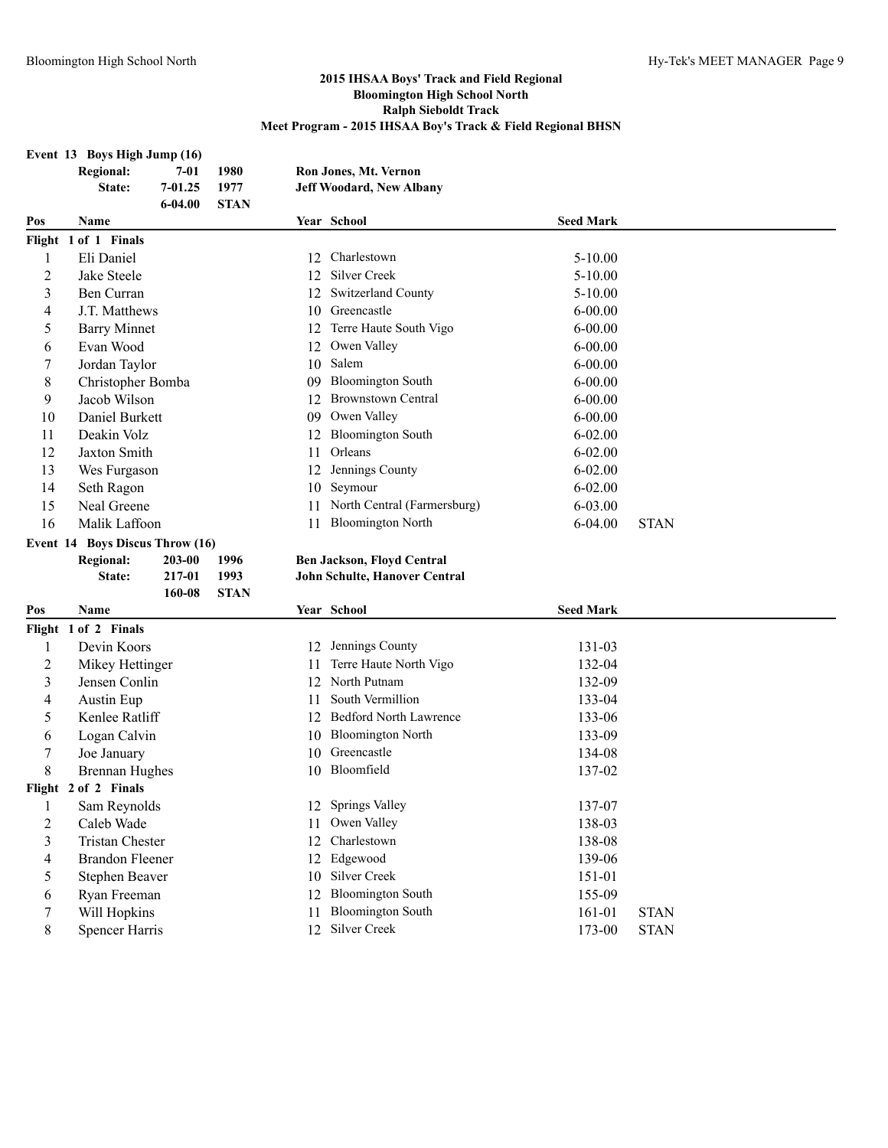## **Event 13 Boys High Jump (16)**

|                | <b>Regional:</b>                | $7 - 01$    | 1980        |    | Ron Jones, Mt. Vernon           |                  |             |
|----------------|---------------------------------|-------------|-------------|----|---------------------------------|------------------|-------------|
|                | State:                          | 7-01.25     | 1977        |    | <b>Jeff Woodard, New Albany</b> |                  |             |
|                |                                 | $6 - 04.00$ | <b>STAN</b> |    |                                 |                  |             |
| Pos            | Name                            |             |             |    | Year School                     | <b>Seed Mark</b> |             |
|                | Flight 1 of 1 Finals            |             |             |    |                                 |                  |             |
| 1              | Eli Daniel                      |             |             | 12 | Charlestown                     | 5-10.00          |             |
| 2              | Jake Steele                     |             |             | 12 | <b>Silver Creek</b>             | $5 - 10.00$      |             |
| 3              | Ben Curran                      |             |             | 12 | <b>Switzerland County</b>       | 5-10.00          |             |
| 4              | J.T. Matthews                   |             |             | 10 | Greencastle                     | $6 - 00.00$      |             |
| 5              | <b>Barry Minnet</b>             |             |             | 12 | Terre Haute South Vigo          | $6 - 00.00$      |             |
| 6              | Evan Wood                       |             |             | 12 | Owen Valley                     | $6 - 00.00$      |             |
| 7              | Jordan Taylor                   |             |             | 10 | Salem                           | $6 - 00.00$      |             |
| 8              | Christopher Bomba               |             |             | 09 | <b>Bloomington South</b>        | $6 - 00.00$      |             |
| 9              | Jacob Wilson                    |             |             | 12 | <b>Brownstown Central</b>       | $6 - 00.00$      |             |
| 10             | Daniel Burkett                  |             |             | 09 | Owen Valley                     | $6 - 00.00$      |             |
| 11             | Deakin Volz                     |             |             | 12 | <b>Bloomington South</b>        | $6 - 02.00$      |             |
| 12             | Jaxton Smith                    |             |             | 11 | Orleans                         | $6 - 02.00$      |             |
| 13             | Wes Furgason                    |             |             | 12 | Jennings County                 | $6 - 02.00$      |             |
| 14             | Seth Ragon                      |             |             | 10 | Seymour                         | $6 - 02.00$      |             |
| 15             | Neal Greene                     |             |             | 11 | North Central (Farmersburg)     | 6-03.00          |             |
| 16             | Malik Laffoon                   |             |             | 11 | <b>Bloomington North</b>        | $6 - 04.00$      | <b>STAN</b> |
|                | Event 14 Boys Discus Throw (16) |             |             |    |                                 |                  |             |
|                |                                 |             |             |    |                                 |                  |             |
|                | <b>Regional:</b>                | 203-00      | 1996        |    | Ben Jackson, Floyd Central      |                  |             |
|                | State:                          | 217-01      | 1993        |    | John Schulte, Hanover Central   |                  |             |
|                |                                 | 160-08      | <b>STAN</b> |    |                                 |                  |             |
| Pos            | Name                            |             |             |    | Year School                     | <b>Seed Mark</b> |             |
|                | Flight 1 of 2 Finals            |             |             |    |                                 |                  |             |
| 1              | Devin Koors                     |             |             | 12 | Jennings County                 | 131-03           |             |
| $\overline{c}$ | Mikey Hettinger                 |             |             | 11 | Terre Haute North Vigo          | 132-04           |             |
| 3              | Jensen Conlin                   |             |             | 12 | North Putnam                    | 132-09           |             |
| 4              | Austin Eup                      |             |             | 11 | South Vermillion                | 133-04           |             |
| 5              | Kenlee Ratliff                  |             |             |    | 12 Bedford North Lawrence       | 133-06           |             |
| 6              | Logan Calvin                    |             |             | 10 | <b>Bloomington North</b>        | 133-09           |             |
| 7              | Joe January                     |             |             | 10 | Greencastle                     | 134-08           |             |
| 8              | <b>Brennan Hughes</b>           |             |             |    | 10 Bloomfield                   | 137-02           |             |
|                | Flight 2 of 2 Finals            |             |             |    |                                 |                  |             |
| 1              | Sam Reynolds                    |             |             |    | 12 Springs Valley               | 137-07           |             |
| $\overline{2}$ | Caleb Wade                      |             |             | 11 | Owen Valley                     | 138-03           |             |
| 3              | <b>Tristan Chester</b>          |             |             | 12 | Charlestown                     | 138-08           |             |
| 4              | <b>Brandon Fleener</b>          |             |             | 12 | Edgewood                        | 139-06           |             |
| 5              | Stephen Beaver                  |             |             | 10 | Silver Creek                    | 151-01           |             |
| 6              | Ryan Freeman                    |             |             | 12 | <b>Bloomington South</b>        | 155-09           |             |
| 7              | Will Hopkins                    |             |             | 11 | <b>Bloomington South</b>        | 161-01           | <b>STAN</b> |